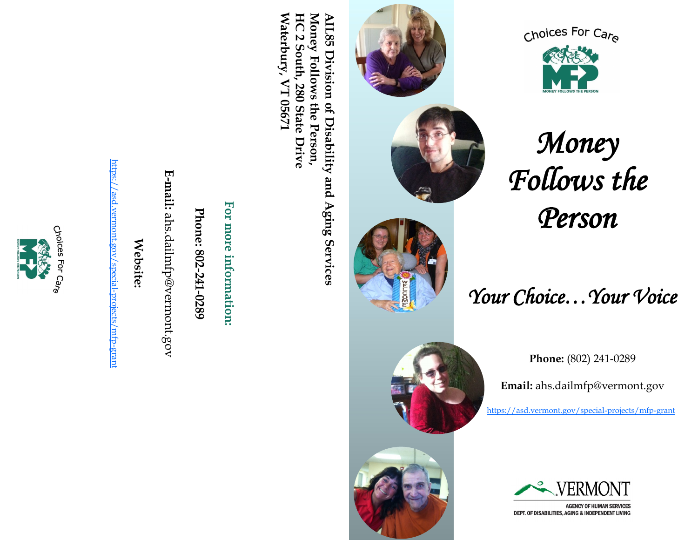

https://asd.vermont.gov/special-projects/mfp-grant <https://asd.vermont.gov/special-projects/mfp-grant>





**Phone:**

**E**

**-mail:**

ahs.dailmfp@vermont.gov

**802**

**-241**

**-0289**

**Waterbury, VT 05671**  Waterbury, VT 05671 HC 2 South, **HC 2 South, 280 State Drive** Money Follows the Person, **Money Follows the Person, AIL85 Division of Disability and Aging Services**  AIL85 Division of Disability and Aging Services 280 State Drive





*Money Follows the Person* 

*Your Choice…Your Voice* 

**Phone:** (802) 241-0289

**Email:** ahs.dailmfp@vermont.gov

<https://asd.vermont.gov/special-projects/mfp-grant>



**AGENCY OF HUMAN SERVICES** DEPT. OF DISABILITIES, AGING & INDEPENDENT LIVING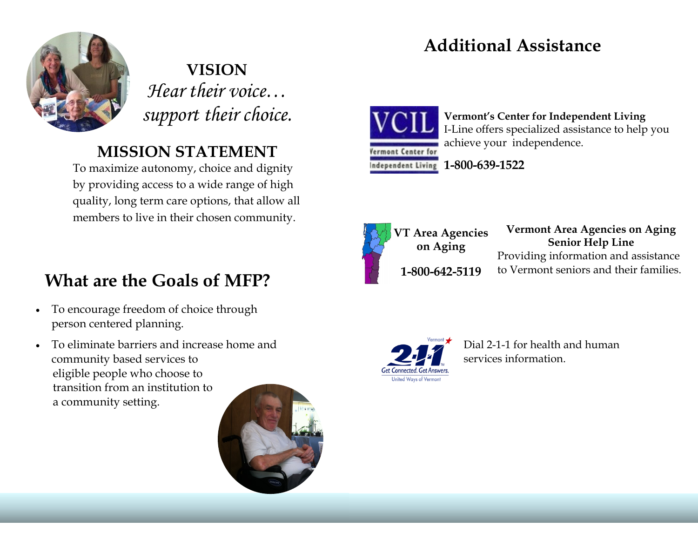# **Additional Assistance**



**VISION** *Hear their voice… support their choice.*

### **MISSION STATEMENT**

To maximize autonomy, choice and dignity by providing access to a wide range of high quality, long term care options, that allow all members to live in their chosen community.

# **What are the Goals of MFP?**

- To encourage freedom of choice through person centered planning.
- To eliminate barriers and increase home and community based services to eligible people who choose to transition from an institution to a community setting.





**Vermont's Center for Independent Living** I-Line offers specialized assistance to help you achieve your independence.



**1-800-639-1522**



**Vermont Area Agencies on Aging Senior Help Line**  Providing information and assistance **1-800-642-5119** to Vermont seniors and their families.



Dial 2-1-1 for health and human services information.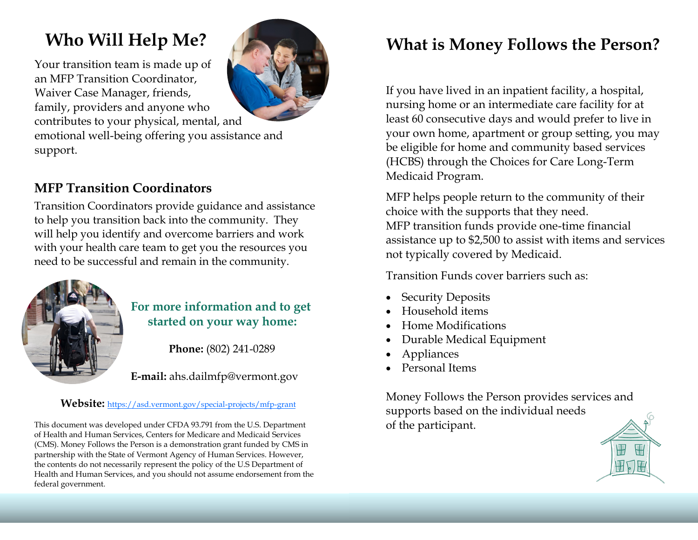# **Who Will Help Me?**

Your transition team is made up of an MFP Transition Coordinator, Waiver Case Manager, friends, family, providers and anyone who contributes to your physical, mental, and



emotional well-being offering you assistance and support.

### **MFP Transition Coordinators**

Transition Coordinators provide guidance and assistance to help you transition back into the community. They will help you identify and overcome barriers and work with your health care team to get you the resources you need to be successful and remain in the community.



### **For more information and to get started on your way home:**

**Phone:** (802) 241-0289

**E-mail:** ahs.dailmfp@vermont.gov

#### Website: <https://asd.vermont.gov/special-projects/mfp-grant>

This document was developed under CFDA 93.791 from the U.S. Department of Health and Human Services, Centers for Medicare and Medicaid Services (CMS). Money Follows the Person is a demonstration grant funded by CMS in partnership with the State of Vermont Agency of Human Services. However, the contents do not necessarily represent the policy of the U.S Department of Health and Human Services, and you should not assume endorsement from the federal government.

### **What is Money Follows the Person?**

If you have lived in an inpatient facility, a hospital, nursing home or an intermediate care facility for at least 60 consecutive days and would prefer to live in your own home, apartment or group setting, you may be eligible for home and community based services (HCBS) through the Choices for Care Long-Term Medicaid Program.

MFP helps people return to the community of their choice with the supports that they need. MFP transition funds provide one-time financial assistance up to \$2,500 to assist with items and services not typically covered by Medicaid.

Transition Funds cover barriers such as:

- Security Deposits
- Household items
- Home Modifications
- Durable Medical Equipment
- **Appliances**
- Personal Items

Money Follows the Person provides services and supports based on the individual needs of the participant.